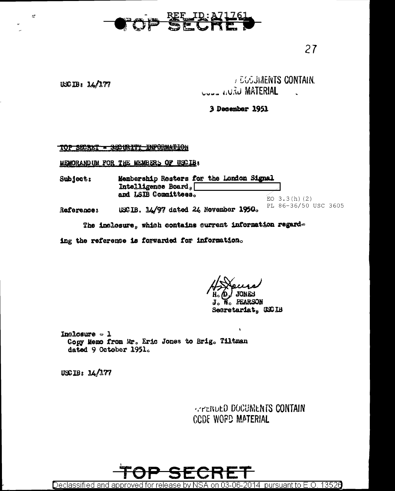

## $USCB: 14/177$

 $\approx$ 

## **JEGGUIAENTS CONTAIN. WATERIAL**

## 3 December 1951

## TOP SECRET - SECURITY INFORMATION

MEMORANDUM FOR THE MEMBERS OF USCIB:

Membership Rosters for the London Signal Subject: Intelligence Board. and LSIB Committees.  $EO$  3.3 $(h)$  (2) PL 86-36/50 USC 3605 USCIB. 14/97 dated 24 November 1950. Reference:

The inclosure, which contains current information regard-

ing the reference is forwarded for information.

**W.** PEARSON J. Secretariat, USCIB

Inclosure  $\sim$  1 Copy Memo from Mr. Eric Jones to Brig. Tiltman dated 9 October 1951.

 $USCIB: 14/177$ 

**APENDED DOCUMENTS CONTAIN** CCDE WORD MATERIAL